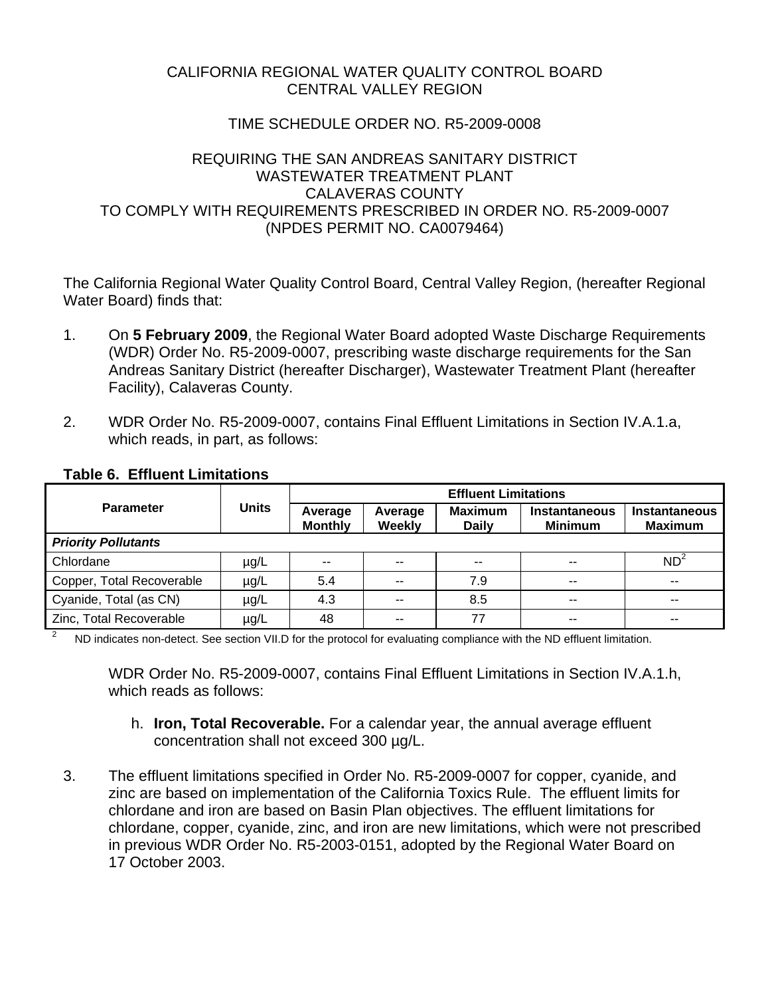# CALIFORNIA REGIONAL WATER QUALITY CONTROL BOARD CENTRAL VALLEY REGION

# TIME SCHEDULE ORDER NO. R5-2009-0008

# REQUIRING THE SAN ANDREAS SANITARY DISTRICT WASTEWATER TREATMENT PI ANT CALAVERAS COUNTY TO COMPLY WITH REQUIREMENTS PRESCRIBED IN ORDER NO. R5-2009-0007 (NPDES PERMIT NO. CA0079464)

The California Regional Water Quality Control Board, Central Valley Region, (hereafter Regional Water Board) finds that:

- 1. On **5 February 2009**, the Regional Water Board adopted Waste Discharge Requirements (WDR) Order No. R5-2009-0007, prescribing waste discharge requirements for the San Andreas Sanitary District (hereafter Discharger), Wastewater Treatment Plant (hereafter Facility), Calaveras County.
- 2. WDR Order No. R5-2009-0007, contains Final Effluent Limitations in Section IV.A.1.a, which reads, in part, as follows:

|                            | <b>Units</b> | <b>Effluent Limitations</b> |                   |                                |                                        |                                 |  |
|----------------------------|--------------|-----------------------------|-------------------|--------------------------------|----------------------------------------|---------------------------------|--|
| <b>Parameter</b>           |              | Average<br><b>Monthly</b>   | Average<br>Weekly | <b>Maximum</b><br><b>Daily</b> | <b>Instantaneous</b><br><b>Minimum</b> | Instantaneous<br><b>Maximum</b> |  |
| <b>Priority Pollutants</b> |              |                             |                   |                                |                                        |                                 |  |
| Chlordane                  | $\mu$ g/L    | $- -$                       | $- -$             | $- -$                          | $- -$                                  | ND <sup>2</sup>                 |  |
| Copper, Total Recoverable  | $\mu$ g/L    | 5.4                         | $\sim$ $\sim$     | 7.9                            | $\sim$ $\sim$                          | $- -$                           |  |
| Cyanide, Total (as CN)     | $\mu$ g/L    | 4.3                         |                   | 8.5                            | --                                     | --                              |  |
| Zinc, Total Recoverable    | $\mu$ g/L    | 48                          | --                | 77                             | $- -$                                  | --                              |  |

## **Table 6. Effluent Limitations**

2 ND indicates non-detect. See section VII.D for the protocol for evaluating compliance with the ND effluent limitation.

WDR Order No. R5-2009-0007, contains Final Effluent Limitations in Section IV.A.1.h, which reads as follows:

- h. **Iron, Total Recoverable.** For a calendar year, the annual average effluent concentration shall not exceed 300 µg/L.
- 3. The effluent limitations specified in Order No. R5-2009-0007 for copper, cyanide, and zinc are based on implementation of the California Toxics Rule. The effluent limits for chlordane and iron are based on Basin Plan objectives. The effluent limitations for chlordane, copper, cyanide, zinc, and iron are new limitations, which were not prescribed in previous WDR Order No. R5-2003-0151, adopted by the Regional Water Board on 17 October 2003.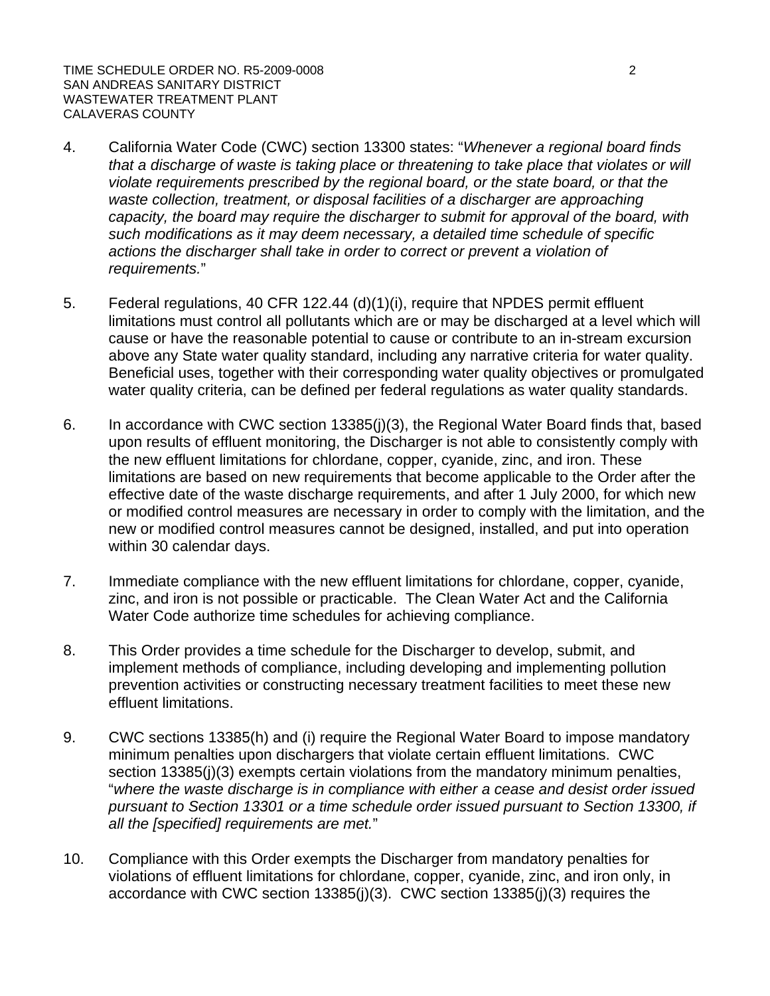TIME SCHEDULE ORDER NO. R5-2009-0008 2 SAN ANDREAS SANITARY DISTRICT WASTEWATER TREATMENT PLANT CALAVERAS COUNTY

- 4. California Water Code (CWC) section 13300 states: "*Whenever a regional board finds that a discharge of waste is taking place or threatening to take place that violates or will violate requirements prescribed by the regional board, or the state board, or that the*  waste collection, treatment, or disposal facilities of a discharger are approaching *capacity, the board may require the discharger to submit for approval of the board, with such modifications as it may deem necessary, a detailed time schedule of specific actions the discharger shall take in order to correct or prevent a violation of requirements.*"
- 5. Federal regulations, 40 CFR 122.44 (d)(1)(i), require that NPDES permit effluent limitations must control all pollutants which are or may be discharged at a level which will cause or have the reasonable potential to cause or contribute to an in-stream excursion above any State water quality standard, including any narrative criteria for water quality. Beneficial uses, together with their corresponding water quality objectives or promulgated water quality criteria, can be defined per federal regulations as water quality standards.
- 6. In accordance with CWC section 13385(j)(3), the Regional Water Board finds that, based upon results of effluent monitoring, the Discharger is not able to consistently comply with the new effluent limitations for chlordane, copper, cyanide, zinc, and iron. These limitations are based on new requirements that become applicable to the Order after the effective date of the waste discharge requirements, and after 1 July 2000, for which new or modified control measures are necessary in order to comply with the limitation, and the new or modified control measures cannot be designed, installed, and put into operation within 30 calendar days.
- 7. Immediate compliance with the new effluent limitations for chlordane, copper, cyanide, zinc, and iron is not possible or practicable. The Clean Water Act and the California Water Code authorize time schedules for achieving compliance.
- 8. This Order provides a time schedule for the Discharger to develop, submit, and implement methods of compliance, including developing and implementing pollution prevention activities or constructing necessary treatment facilities to meet these new effluent limitations.
- 9. CWC sections 13385(h) and (i) require the Regional Water Board to impose mandatory minimum penalties upon dischargers that violate certain effluent limitations. CWC section 13385(j)(3) exempts certain violations from the mandatory minimum penalties, "*where the waste discharge is in compliance with either a cease and desist order issued pursuant to Section 13301 or a time schedule order issued pursuant to Section 13300, if all the [specified] requirements are met.*"
- 10. Compliance with this Order exempts the Discharger from mandatory penalties for violations of effluent limitations for chlordane, copper, cyanide, zinc, and iron only, in accordance with CWC section 13385(j)(3). CWC section 13385(j)(3) requires the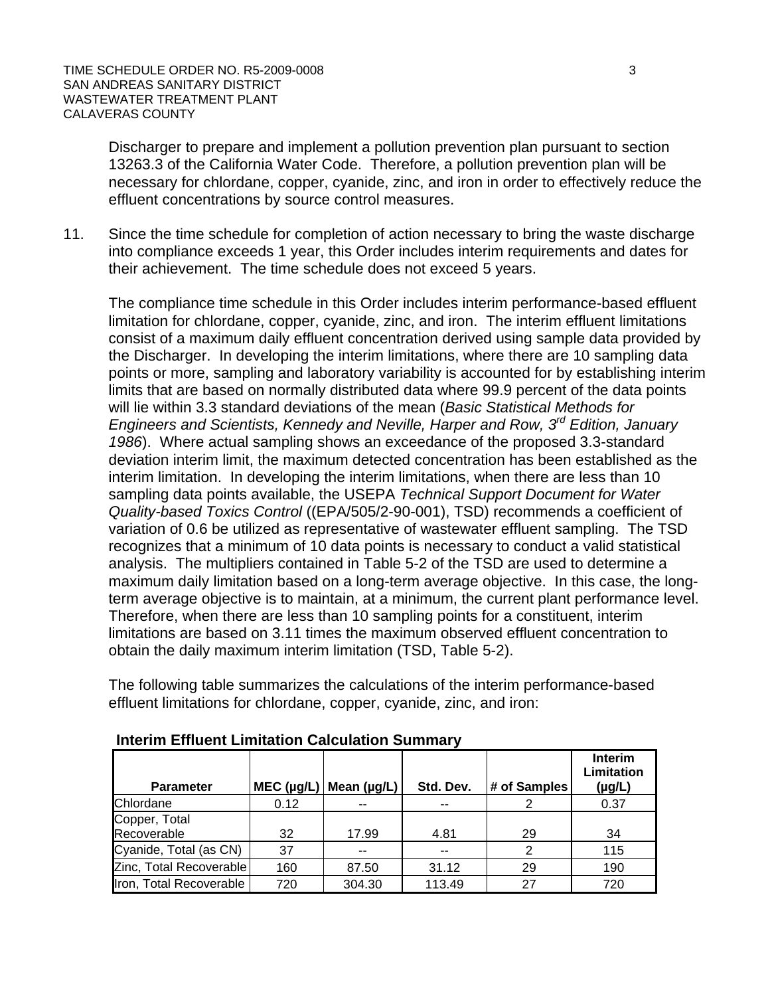Discharger to prepare and implement a pollution prevention plan pursuant to section 13263.3 of the California Water Code. Therefore, a pollution prevention plan will be necessary for chlordane, copper, cyanide, zinc, and iron in order to effectively reduce the effluent concentrations by source control measures.

11. Since the time schedule for completion of action necessary to bring the waste discharge into compliance exceeds 1 year, this Order includes interim requirements and dates for their achievement. The time schedule does not exceed 5 years.

The compliance time schedule in this Order includes interim performance-based effluent limitation for chlordane, copper, cyanide, zinc, and iron. The interim effluent limitations consist of a maximum daily effluent concentration derived using sample data provided by the Discharger. In developing the interim limitations, where there are 10 sampling data points or more, sampling and laboratory variability is accounted for by establishing interim limits that are based on normally distributed data where 99.9 percent of the data points will lie within 3.3 standard deviations of the mean (*Basic Statistical Methods for Engineers and Scientists, Kennedy and Neville, Harper and Row, 3rd Edition, January 1986*). Where actual sampling shows an exceedance of the proposed 3.3-standard deviation interim limit, the maximum detected concentration has been established as the interim limitation. In developing the interim limitations, when there are less than 10 sampling data points available, the USEPA *Technical Support Document for Water Quality-based Toxics Control* ((EPA/505/2-90-001), TSD) recommends a coefficient of variation of 0.6 be utilized as representative of wastewater effluent sampling. The TSD recognizes that a minimum of 10 data points is necessary to conduct a valid statistical analysis. The multipliers contained in Table 5-2 of the TSD are used to determine a maximum daily limitation based on a long-term average objective. In this case, the longterm average objective is to maintain, at a minimum, the current plant performance level. Therefore, when there are less than 10 sampling points for a constituent, interim limitations are based on 3.11 times the maximum observed effluent concentration to obtain the daily maximum interim limitation (TSD, Table 5-2).

The following table summarizes the calculations of the interim performance-based effluent limitations for chlordane, copper, cyanide, zinc, and iron:

| <b>Parameter</b>             | $MEC$ (µg/L) | Mean $(\mu g/L)$ | Std. Dev. | # of Samples | <b>Interim</b><br>Limitation<br>$(\mu g/L)$ |
|------------------------------|--------------|------------------|-----------|--------------|---------------------------------------------|
| Chlordane                    | 0.12         | --               |           |              | 0.37                                        |
| Copper, Total<br>Recoverable | 32           | 17.99            | 4.81      | 29           | 34                                          |
| Cyanide, Total (as CN)       | 37           |                  |           | 2            | 115                                         |
| Zinc, Total Recoverable      | 160          | 87.50            | 31.12     | 29           | 190                                         |
| Iron, Total Recoverable      | 720          | 304.30           | 113.49    | 27           | 720                                         |

#### **Interim Effluent Limitation Calculation Summary**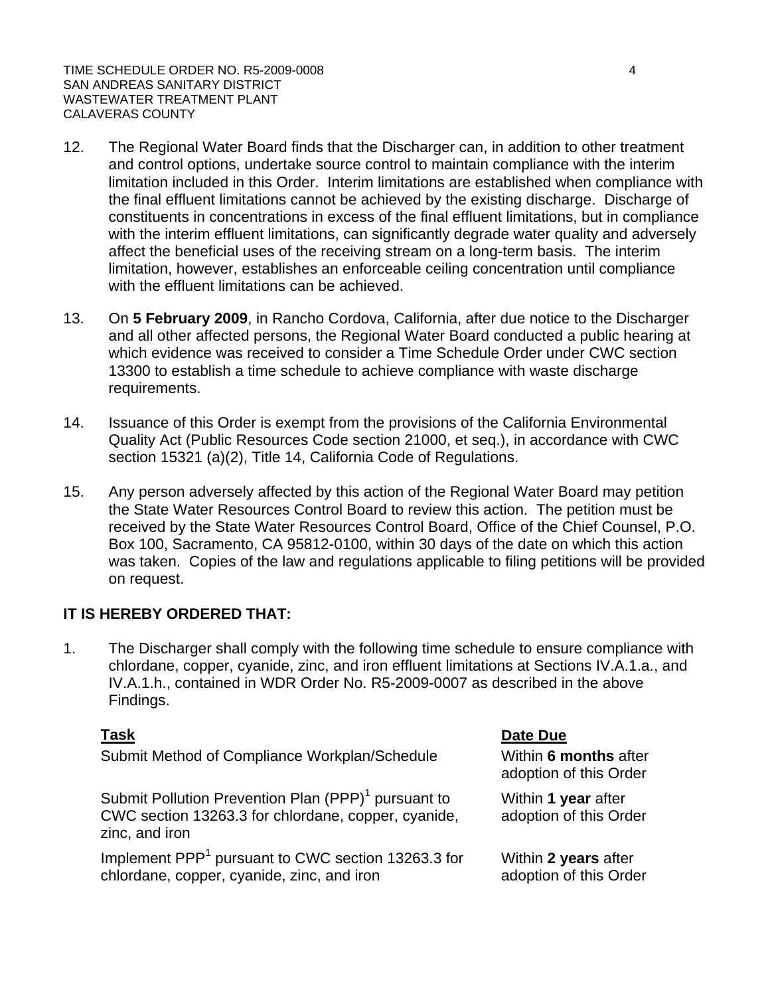TIME SCHEDULE ORDER NO. R5-2009-0008 4 SAN ANDREAS SANITARY DISTRICT WASTEWATER TREATMENT PLANT CALAVERAS COUNTY

- 12. The Regional Water Board finds that the Discharger can, in addition to other treatment and control options, undertake source control to maintain compliance with the interim limitation included in this Order. Interim limitations are established when compliance with the final effluent limitations cannot be achieved by the existing discharge. Discharge of constituents in concentrations in excess of the final effluent limitations, but in compliance with the interim effluent limitations, can significantly degrade water quality and adversely affect the beneficial uses of the receiving stream on a long-term basis. The interim limitation, however, establishes an enforceable ceiling concentration until compliance with the effluent limitations can be achieved.
- 13. On **5 February 2009**, in Rancho Cordova, California, after due notice to the Discharger and all other affected persons, the Regional Water Board conducted a public hearing at which evidence was received to consider a Time Schedule Order under CWC section 13300 to establish a time schedule to achieve compliance with waste discharge requirements.
- 14. Issuance of this Order is exempt from the provisions of the California Environmental Quality Act (Public Resources Code section 21000, et seq.), in accordance with CWC section 15321 (a)(2), Title 14, California Code of Regulations.
- 15. Any person adversely affected by this action of the Regional Water Board may petition the State Water Resources Control Board to review this action. The petition must be received by the State Water Resources Control Board, Office of the Chief Counsel, P.O. Box 100, Sacramento, CA 95812-0100, within 30 days of the date on which this action was taken. Copies of the law and regulations applicable to filing petitions will be provided on request.

## **IT IS HEREBY ORDERED THAT:**

1. The Discharger shall comply with the following time schedule to ensure compliance with chlordane, copper, cyanide, zinc, and iron effluent limitations at Sections IV.A.1.a., and IV.A.1.h., contained in WDR Order No. R5-2009-0007 as described in the above Findings.

Submit Method of Compliance Workplan/Schedule Within **6 months** after

Submit Pollution Prevention Plan (PPP)<sup>1</sup> pursuant to CWC section 13263.3 for chlordane, copper, cyanide, zinc, and iron

Implement PPP<sup>1</sup> pursuant to CWC section 13263.3 for chlordane, copper, cyanide, zinc, and iron

#### **Task Date Due**

adoption of this Order

Within **1 year** after adoption of this Order

Within **2 years** after adoption of this Order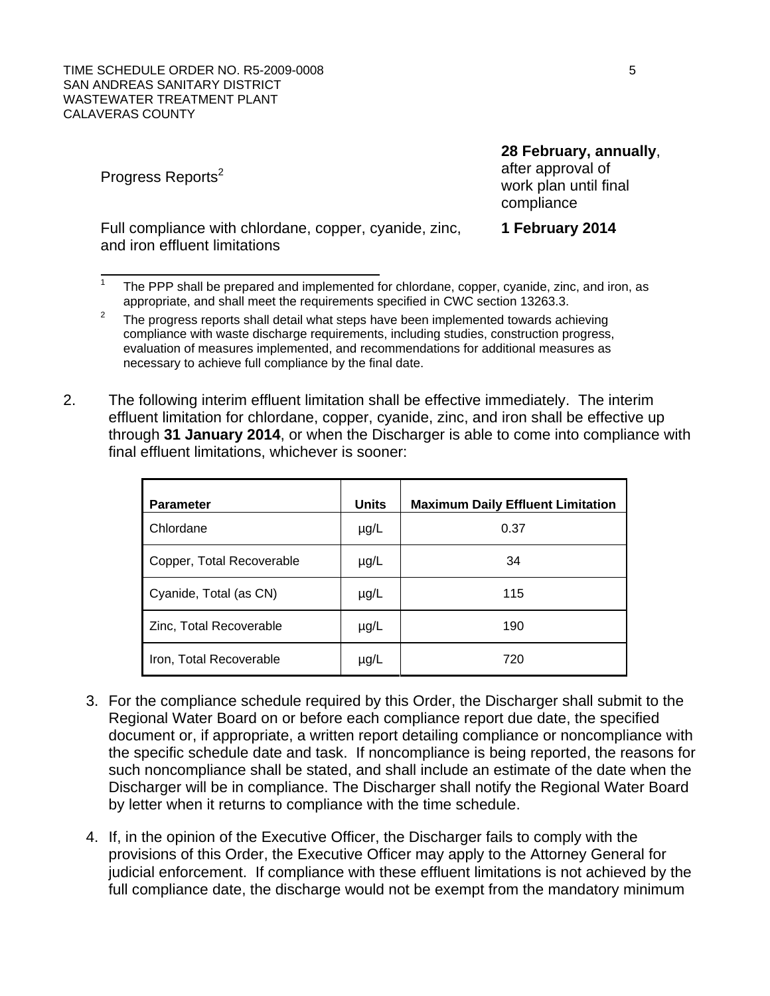TIME SCHEDULE ORDER NO. R5-2009-0008 5 SHOW TO A SERIES AND THE SCHEDULE ORDER NO. SAN ANDREAS SANITARY DISTRICT WASTEWATER TREATMENT PLANT CALAVERAS COUNTY

Progress Reports<sup>2</sup>

 $\overline{a}$ 

Full compliance with chlordane, copper, cyanide, zinc, and iron effluent limitations

1 The PPP shall be prepared and implemented for chlordane, copper, cyanide, zinc, and iron, as appropriate, and shall meet the requirements specified in CWC section 13263.3.

2. The following interim effluent limitation shall be effective immediately. The interim effluent limitation for chlordane, copper, cyanide, zinc, and iron shall be effective up through **31 January 2014**, or when the Discharger is able to come into compliance with final effluent limitations, whichever is sooner:

| <b>Parameter</b>          | <b>Units</b> | <b>Maximum Daily Effluent Limitation</b> |
|---------------------------|--------------|------------------------------------------|
| Chlordane                 | $\mu$ g/L    | 0.37                                     |
| Copper, Total Recoverable | $\mu$ g/L    | 34                                       |
| Cyanide, Total (as CN)    | $\mu$ g/L    | 115                                      |
| Zinc, Total Recoverable   | $\mu$ g/L    | 190                                      |
| Iron, Total Recoverable   | $\mu$ g/L    | 720                                      |

- 3. For the compliance schedule required by this Order, the Discharger shall submit to the Regional Water Board on or before each compliance report due date, the specified document or, if appropriate, a written report detailing compliance or noncompliance with the specific schedule date and task. If noncompliance is being reported, the reasons for such noncompliance shall be stated, and shall include an estimate of the date when the Discharger will be in compliance. The Discharger shall notify the Regional Water Board by letter when it returns to compliance with the time schedule.
- 4. If, in the opinion of the Executive Officer, the Discharger fails to comply with the provisions of this Order, the Executive Officer may apply to the Attorney General for judicial enforcement. If compliance with these effluent limitations is not achieved by the full compliance date, the discharge would not be exempt from the mandatory minimum

#### **28 February, annually**,

after approval of work plan until final compliance

#### **1 February 2014**

<sup>2</sup> The progress reports shall detail what steps have been implemented towards achieving compliance with waste discharge requirements, including studies, construction progress, evaluation of measures implemented, and recommendations for additional measures as necessary to achieve full compliance by the final date.